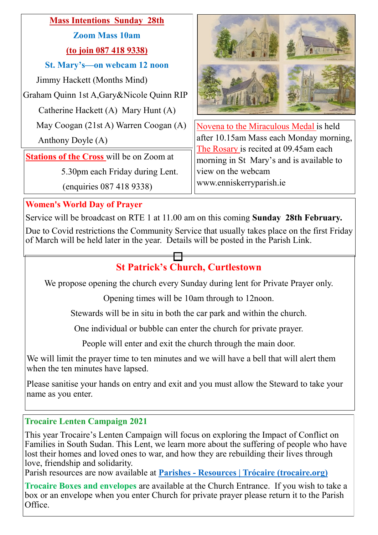## **Mass Intentions Sunday 28th**

**Zoom Mass 10am (to join 087 418 9338)**

**St. Mary's—on webcam 12 noon**

Jimmy Hackett (Months Mind)

Graham Quinn 1st A,Gary&Nicole Quinn RIP

Catherine Hackett (A) Mary Hunt (A)

May Coogan (21st A) Warren Coogan (A)

Anthony Doyle (A)

**Stations of the Cross** will be on Zoom at

5.30pm each Friday during Lent.

(enquiries 087 418 9338)



Novena to the Miraculous Medal is held after 10.15am Mass each Monday morning, The Rosary is recited at 09.45am each morning in St Mary's and is available to view on the webcam www.enniskerryparish.ie

## **Women's World Day of Prayer**

Service will be broadcast on RTE 1 at 11.00 am on this coming **Sunday 28th February.**

Due to Covid restrictions the Community Service that usually takes place on the first Friday of March will be held later in the year. Details will be posted in the Parish Link.

# **St Patrick's Church, Curtlestown**

We propose opening the church every Sunday during lent for Private Prayer only.

Opening times will be 10am through to 12noon.

Stewards will be in situ in both the car park and within the church.

One individual or bubble can enter the church for private prayer.

People will enter and exit the church through the main door.

We will limit the prayer time to ten minutes and we will have a bell that will alert them when the ten minutes have lapsed.

Please sanitise your hands on entry and exit and you must allow the Steward to take your name as you enter.

## **Trocaire Lenten Campaign 2021**

This year Trocaire's Lenten Campaign will focus on exploring the Impact of Conflict on Families in South Sudan. This Lent, we learn more about the suffering of people who have lost their homes and loved ones to war, and how they are rebuilding their lives through love, friendship and solidarity.

Parish resources are now available at **Parishes - [Resources | Trócaire \(trocaire.org\)](https://www.trocaire.org/our-work/working-in-ireland/parishes/resources/)**

**Trocaire Boxes and envelopes** are available at the Church Entrance. If you wish to take a box or an envelope when you enter Church for private prayer please return it to the Parish Office.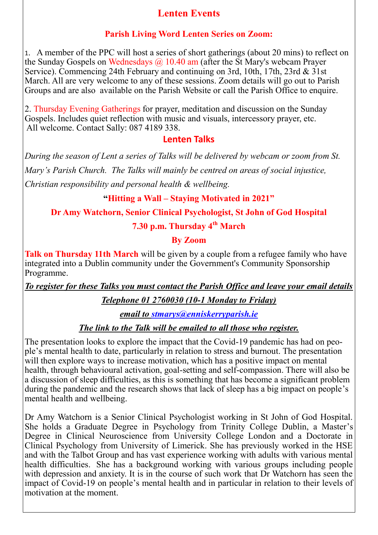## **Lenten Events**

#### **Parish Living Word Lenten Series on Zoom:**

1. A member of the PPC will host a series of short gatherings (about 20 mins) to reflect on the Sunday Gospels on Wednesdays  $\omega$  10.40 am (after the St Mary's webcam Prayer Service). Commencing 24th February and continuing on 3rd, 10th, 17th, 23rd & 31st March. All are very welcome to any of these sessions. Zoom details will go out to Parish Groups and are also available on the Parish Website or call the Parish Office to enquire.

2. Thursday Evening Gatherings for prayer, meditation and discussion on the Sunday Gospels. Includes quiet reflection with music and visuals, intercessory prayer, etc. All welcome. Contact Sally: 087 4189 338.

#### **Lenten Talks**

*During the season of Lent a series of Talks will be delivered by webcam or zoom from St. Mary's Parish Church. The Talks will mainly be centred on areas of social injustice, Christian responsibility and personal health & wellbeing.* 

#### **"Hitting a Wall – Staying Motivated in 2021"**

**Dr Amy Watchorn, Senior Clinical Psychologist, St John of God Hospital**

**7.30 p.m. Thursday 4th March**

## **By Zoom**

**Talk on Thursday 11th March** will be given by a couple from a refugee family who have integrated into a Dublin community under the Government's Community Sponsorship Programme.

*To register for these Talks you must contact the Parish Office and leave your email details* 

## *Telephone 01 2760030 (10-1 Monday to Friday)*

*email to [stmarys@enniskerryparish.ie](mailto:stmarys@enniskerryparish.ie)*

#### *The link to the Talk will be emailed to all those who register.*

The presentation looks to explore the impact that the Covid-19 pandemic has had on people's mental health to date, particularly in relation to stress and burnout. The presentation will then explore ways to increase motivation, which has a positive impact on mental health, through behavioural activation, goal-setting and self-compassion. There will also be a discussion of sleep difficulties, as this is something that has become a significant problem during the pandemic and the research shows that lack of sleep has a big impact on people's mental health and wellbeing.

Dr Amy Watchorn is a Senior Clinical Psychologist working in St John of God Hospital. She holds a Graduate Degree in Psychology from Trinity College Dublin, a Master's Degree in Clinical Neuroscience from University College London and a Doctorate in Clinical Psychology from University of Limerick. She has previously worked in the HSE and with the Talbot Group and has vast experience working with adults with various mental health difficulties. She has a background working with various groups including people with depression and anxiety. It is in the course of such work that Dr Watchorn has seen the impact of Covid-19 on people's mental health and in particular in relation to their levels of motivation at the moment.